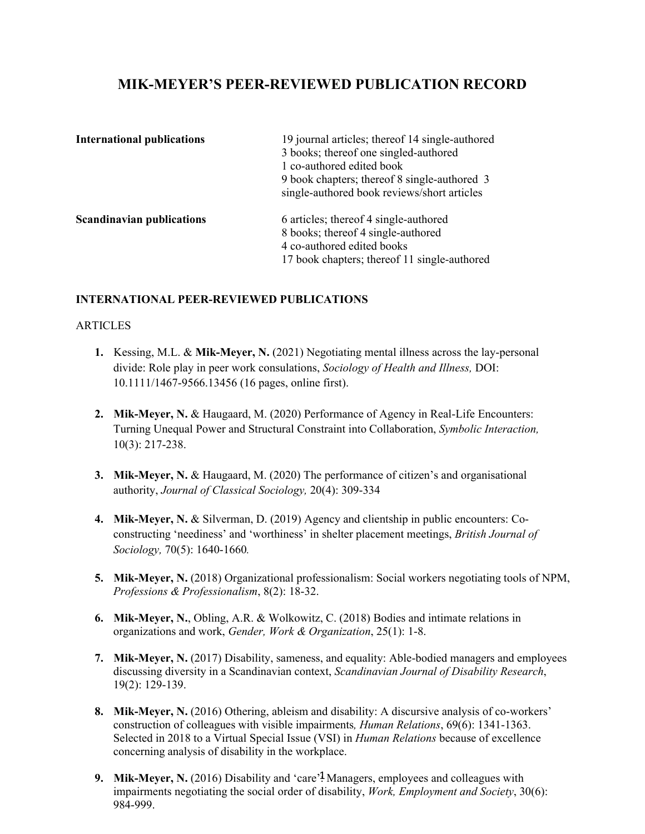# **MIK-MEYER'S PEER-REVIEWED PUBLICATION RECORD**

| <b>International publications</b> | 19 journal articles; thereof 14 single-authored<br>3 books; thereof one singled-authored<br>1 co-authored edited book<br>9 book chapters; thereof 8 single-authored 3<br>single-authored book reviews/short articles |
|-----------------------------------|----------------------------------------------------------------------------------------------------------------------------------------------------------------------------------------------------------------------|
| <b>Scandinavian publications</b>  | 6 articles; thereof 4 single-authored<br>8 books; thereof 4 single-authored<br>4 co-authored edited books<br>17 book chapters; thereof 11 single-authored                                                            |

# **INTERNATIONAL PEER-REVIEWED PUBLICATIONS**

## **ARTICLES**

- **1.** Kessing, M.L. & **Mik-Meyer, N.** (2021) Negotiating mental illness across the lay-personal divide: Role play in peer work consulations, *Sociology of Health and Illness,* DOI: 10.1111/1467-9566.13456 (16 pages, online first).
- **2. Mik-Meyer, N.** & Haugaard, M. (2020) Performance of Agency in Real-Life Encounters: Turning Unequal Power and Structural Constraint into Collaboration, *Symbolic Interaction,*  10(3): 217-238.
- **3. Mik-Meyer, N.** & Haugaard, M. (2020) The performance of citizen's and organisational authority, *Journal of Classical Sociology,* 20(4): 309-334
- **4. Mik-Meyer, N.** & Silverman, D. (2019) Agency and clientship in public encounters: Coconstructing 'neediness' and 'worthiness' in shelter placement meetings, *British Journal of Sociology,* 70(5): 1640-1660*.*
- **5. Mik-Meyer, N.** (2018) Organizational professionalism: Social workers negotiating tools of NPM, *Professions & Professionalism*, 8(2): 18-32.
- **6. Mik-Meyer, N.**, Obling, A.R. & Wolkowitz, C. (2018) Bodies and intimate relations in organizations and work, *Gender, Work & Organization*, 25(1): 1-8.
- **7. Mik-Meyer, N.** (2017) Disability, sameness, and equality: Able-bodied managers and employees discussing diversity in a Scandinavian context, *Scandinavian Journal of Disability Research*, 19(2): 129-139.
- **8. Mik-Meyer, N.** (2016) Othering, ableism and disability: A discursive analysis of co-workers' construction of colleagues with visible impairments*, Human Relations*, 69(6): 1341-1363. Selected in 2018 to a Virtual Special Issue (VSI) in *Human Relations* because of excellence concerning analysis of disability in the workplace.
- 9. Mik-Meyer, N. (2016) Disability and 'care'? Managers, employees and colleagues with impairments negotiating the social order of disability, *Work, Employment and Society*, 30(6): 984-999.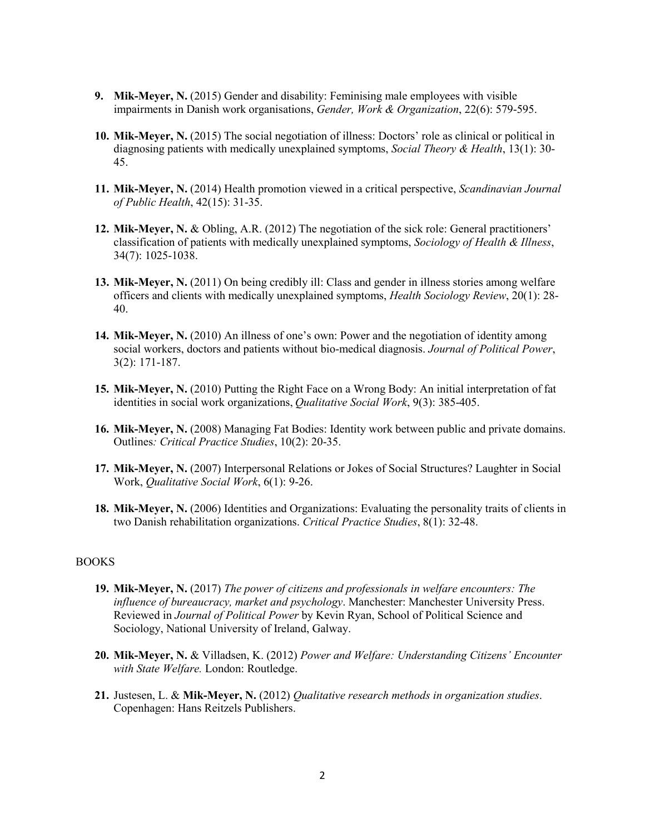- **9. Mik-Meyer, N.** (2015) Gender and disability: Feminising male employees with visible impairments in Danish work organisations, *Gender, Work & Organization*, 22(6): 579-595.
- **10. Mik-Meyer, N.** (2015) The social negotiation of illness: Doctors' role as clinical or political in diagnosing patients with medically unexplained symptoms, *Social Theory & Health*, 13(1): 30- 45.
- **11. Mik-Meyer, N.** (2014) Health promotion viewed in a critical perspective, *Scandinavian Journal of Public Health*, 42(15): 31-35.
- **12. Mik-Meyer, N.** & Obling, A.R. (2012) The negotiation of the sick role: General practitioners' classification of patients with medically unexplained symptoms, *Sociology of Health & Illness*, 34(7): 1025-1038.
- **13. Mik-Meyer, N.** (2011) On being credibly ill: Class and gender in illness stories among welfare officers and clients with medically unexplained symptoms, *Health Sociology Review*, 20(1): 28- 40.
- **14. Mik-Meyer, N.** (2010) An illness of one's own: Power and the negotiation of identity among social workers, doctors and patients without bio-medical diagnosis. *Journal of Political Power*, 3(2): 171-187.
- **15. Mik-Meyer, N.** (2010) Putting the Right Face on a Wrong Body: An initial interpretation of fat identities in social work organizations, *Qualitative Social Work*, 9(3): 385-405.
- **16. Mik-Meyer, N.** (2008) Managing Fat Bodies: Identity work between public and private domains. Outlines*: Critical Practice Studies*, 10(2): 20-35.
- **17. Mik-Meyer, N.** (2007) Interpersonal Relations or Jokes of Social Structures? Laughter in Social Work, *Qualitative Social Work*, 6(1): 9-26.
- **18. Mik-Meyer, N.** (2006) Identities and Organizations: Evaluating the personality traits of clients in two Danish rehabilitation organizations. *Critical Practice Studies*, 8(1): 32-48.

#### BOOKS

- **19. Mik-Meyer, N.** (2017) *The power of citizens and professionals in welfare encounters: The influence of bureaucracy, market and psychology*. Manchester: Manchester University Press. Reviewed in *Journal of Political Power* by Kevin Ryan, School of Political Science and Sociology, National University of Ireland, Galway.
- **20. Mik-Meyer, N.** & Villadsen, K. (2012) *Power and Welfare: Understanding Citizens' Encounter with State Welfare.* London: Routledge.
- **21.** Justesen, L. & **Mik-Meyer, N.** (2012) *Qualitative research methods in organization studies*. Copenhagen: Hans Reitzels Publishers.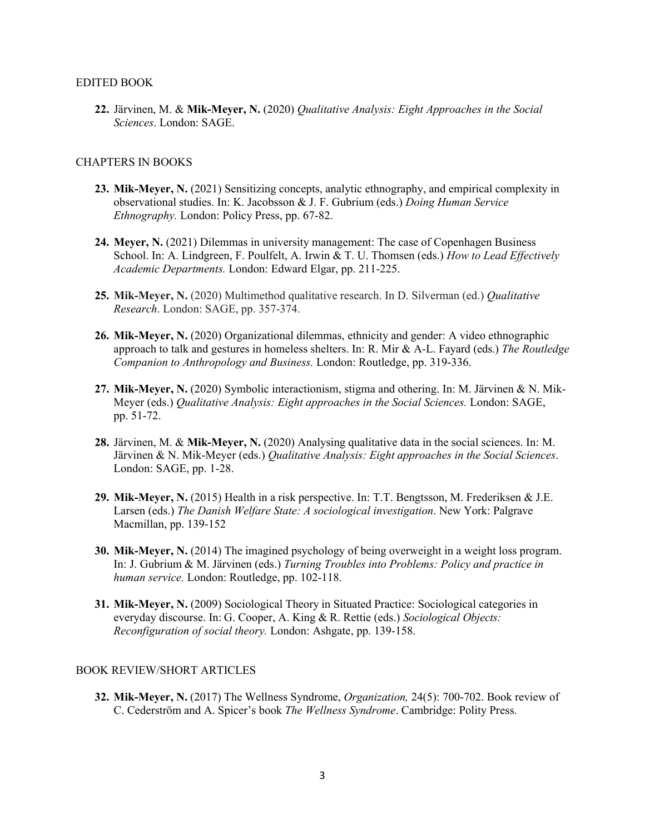#### EDITED BOOK

**22.** Järvinen, M. & **Mik-Meyer, N.** (2020) *Qualitative Analysis: Eight Approaches in the Social Sciences*. London: SAGE.

## CHAPTERS IN BOOKS

- **23. Mik-Meyer, N.** (2021) Sensitizing concepts, analytic ethnography, and empirical complexity in observational studies. In: K. Jacobsson & J. F. Gubrium (eds.) *Doing Human Service Ethnography.* London: Policy Press, pp. 67-82.
- **24. Meyer, N.** (2021) Dilemmas in university management: The case of Copenhagen Business School. In: A. Lindgreen, F. Poulfelt, A. Irwin & T. U. Thomsen (eds.) *How to Lead Effectively Academic Departments.* London: Edward Elgar, pp. 211-225.
- **25. Mik-Meyer, N.** (2020) Multimethod qualitative research. In D. Silverman (ed.) *Qualitative Research*. London: SAGE, pp. 357-374.
- **26. Mik-Meyer, N.** (2020) Organizational dilemmas, ethnicity and gender: A video ethnographic approach to talk and gestures in homeless shelters. In: R. Mir & A-L. Fayard (eds.) *The Routledge Companion to Anthropology and Business.* London: Routledge, pp. 319-336.
- **27. Mik-Meyer, N.** (2020) Symbolic interactionism, stigma and othering. In: M. Järvinen & N. Mik-Meyer (eds.) *Qualitative Analysis: Eight approaches in the Social Sciences.* London: SAGE, pp. 51-72.
- **28.** Järvinen, M. & **Mik-Meyer, N.** (2020) Analysing qualitative data in the social sciences. In: M. Järvinen & N. Mik-Meyer (eds.) *Qualitative Analysis: Eight approaches in the Social Sciences*. London: SAGE, pp. 1-28.
- **29. Mik-Meyer, N.** (2015) Health in a risk perspective. In: T.T. Bengtsson, M. Frederiksen & J.E. Larsen (eds.) *The Danish Welfare State: A sociological investigation*. New York: Palgrave Macmillan, pp. 139-152
- **30. Mik-Meyer, N.** (2014) The imagined psychology of being overweight in a weight loss program. In: J. Gubrium & M. Järvinen (eds.) *Turning Troubles into Problems: Policy and practice in human service.* London: Routledge, pp. 102-118.
- **31. Mik-Meyer, N.** (2009) Sociological Theory in Situated Practice: Sociological categories in everyday discourse. In: G. Cooper, A. King & R. Rettie (eds.) *Sociological Objects: Reconfiguration of social theory.* London: Ashgate, pp. 139-158.

## BOOK REVIEW/SHORT ARTICLES

**32. Mik-Meyer, N.** (2017) The Wellness Syndrome, *Organization,* 24(5): 700-702. Book review of C. Cederström and A. Spicer's book *The Wellness Syndrome*. Cambridge: Polity Press.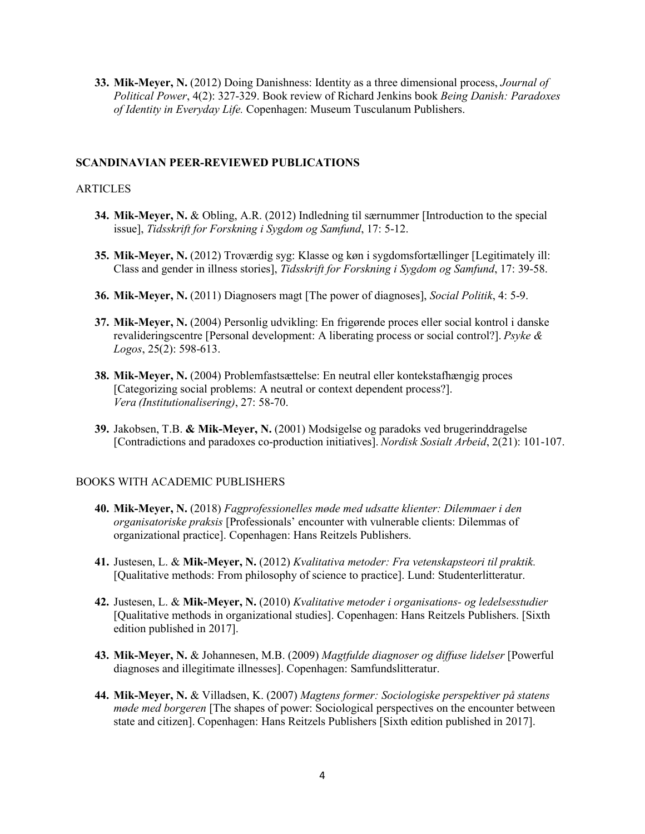**33. Mik-Meyer, N.** (2012) Doing Danishness: Identity as a three dimensional process, *Journal of Political Power*, 4(2): 327-329. Book review of Richard Jenkins book *Being Danish: Paradoxes of Identity in Everyday Life.* Copenhagen: Museum Tusculanum Publishers.

# **SCANDINAVIAN PEER-REVIEWED PUBLICATIONS**

## ARTICLES

- **34. Mik-Meyer, N.** & Obling, A.R. (2012) Indledning til særnummer [Introduction to the special issue], *Tidsskrift for Forskning i Sygdom og Samfund*, 17: 5-12.
- **35. Mik-Meyer, N.** (2012) Troværdig syg: Klasse og køn i sygdomsfortællinger [Legitimately ill: Class and gender in illness stories], *Tidsskrift for Forskning i Sygdom og Samfund*, 17: 39-58.
- **36. Mik-Meyer, N.** (2011) Diagnosers magt [The power of diagnoses], *Social Politik*, 4: 5-9.
- **37. Mik-Meyer, N.** (2004) Personlig udvikling: En frigørende proces eller social kontrol i danske revalideringscentre [Personal development: A liberating process or social control?]. *Psyke & Logos*, 25(2): 598-613.
- **38. Mik-Meyer, N.** (2004) Problemfastsættelse: En neutral eller kontekstafhængig proces [Categorizing social problems: A neutral or context dependent process?]. *Vera (Institutionalisering)*, 27: 58-70.
- **39.** Jakobsen, T.B. **& Mik-Meyer, N.** (2001) Modsigelse og paradoks ved brugerinddragelse [Contradictions and paradoxes co-production initiatives]. *Nordisk Sosialt Arbeid*, 2(21): 101-107.

## BOOKS WITH ACADEMIC PUBLISHERS

- **40. Mik-Meyer, N.** (2018) *Fagprofessionelles møde med udsatte klienter: Dilemmaer i den organisatoriske praksis* [Professionals' encounter with vulnerable clients: Dilemmas of organizational practice]. Copenhagen: Hans Reitzels Publishers.
- **41.** Justesen, L. & **Mik-Meyer, N.** (2012) *Kvalitativa metoder: Fra vetenskapsteori til praktik.* [Qualitative methods: From philosophy of science to practice]. Lund: Studenterlitteratur.
- **42.** Justesen, L. & **Mik-Meyer, N.** (2010) *Kvalitative metoder i organisations- og ledelsesstudier* [Qualitative methods in organizational studies]. Copenhagen: Hans Reitzels Publishers. [Sixth edition published in 2017].
- **43. Mik-Meyer, N.** & Johannesen, M.B. (2009) *Magtfulde diagnoser og diffuse lidelser* [Powerful diagnoses and illegitimate illnesses]. Copenhagen: Samfundslitteratur.
- **44. Mik-Meyer, N.** & Villadsen, K. (2007) *Magtens former: Sociologiske perspektiver på statens møde med borgeren* [The shapes of power: Sociological perspectives on the encounter between state and citizen]. Copenhagen: Hans Reitzels Publishers [Sixth edition published in 2017].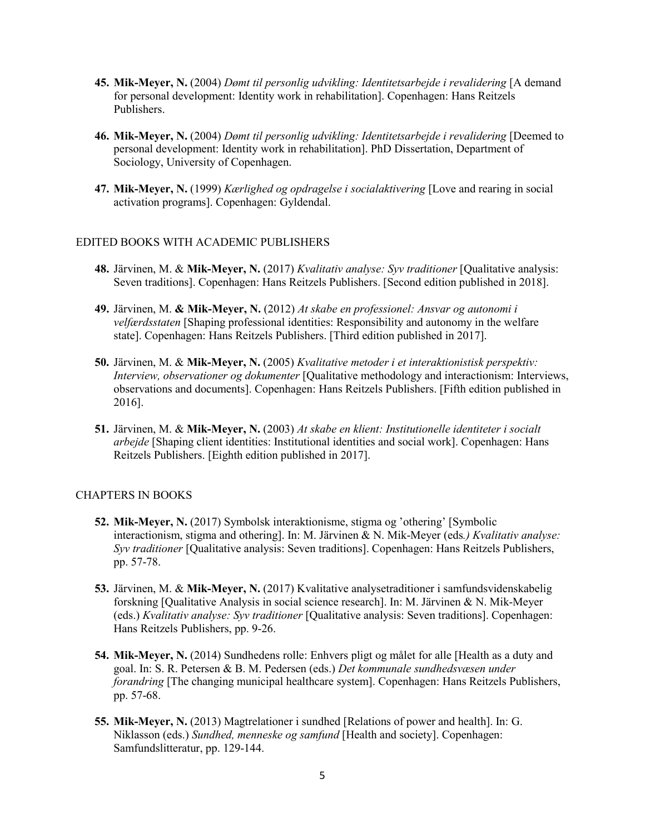- **45. Mik-Meyer, N.** (2004) *Dømt til personlig udvikling: Identitetsarbejde i revalidering* [A demand for personal development: Identity work in rehabilitation]. Copenhagen: Hans Reitzels Publishers.
- **46. Mik-Meyer, N.** (2004) *Dømt til personlig udvikling: Identitetsarbejde i revalidering* [Deemed to personal development: Identity work in rehabilitation]. PhD Dissertation, Department of Sociology, University of Copenhagen.
- **47. Mik-Meyer, N.** (1999) *Kærlighed og opdragelse i socialaktivering* [Love and rearing in social activation programs]. Copenhagen: Gyldendal.

#### EDITED BOOKS WITH ACADEMIC PUBLISHERS

- **48.** Järvinen, M. & **Mik-Meyer, N.** (2017) *Kvalitativ analyse: Syv traditioner* [Qualitative analysis: Seven traditions]. Copenhagen: Hans Reitzels Publishers. [Second edition published in 2018].
- **49.** Järvinen, M. **& Mik-Meyer, N.** (2012) *At skabe en professionel: Ansvar og autonomi i velfærdsstaten* [Shaping professional identities: Responsibility and autonomy in the welfare state]. Copenhagen: Hans Reitzels Publishers. [Third edition published in 2017].
- **50.** Järvinen, M. & **Mik-Meyer, N.** (2005) *Kvalitative metoder i et interaktionistisk perspektiv: Interview, observationer og dokumenter* [Qualitative methodology and interactionism: Interviews, observations and documents]. Copenhagen: Hans Reitzels Publishers. [Fifth edition published in 2016].
- **51.** Järvinen, M. & **Mik-Meyer, N.** (2003) *At skabe en klient: Institutionelle identiteter i socialt arbejde* [Shaping client identities: Institutional identities and social work]. Copenhagen: Hans Reitzels Publishers. [Eighth edition published in 2017].

## CHAPTERS IN BOOKS

- **52. Mik-Meyer, N.** (2017) Symbolsk interaktionisme, stigma og 'othering' [Symbolic interactionism, stigma and othering]. In: M. Järvinen & N. Mik-Meyer (eds*.) Kvalitativ analyse: Syv traditioner* [Qualitative analysis: Seven traditions]. Copenhagen: Hans Reitzels Publishers, pp. 57-78.
- **53.** Järvinen, M. & **Mik-Meyer, N.** (2017) Kvalitative analysetraditioner i samfundsvidenskabelig forskning [Qualitative Analysis in social science research]. In: M. Järvinen & N. Mik-Meyer (eds.) *Kvalitativ analyse: Syv traditioner* [Qualitative analysis: Seven traditions]. Copenhagen: Hans Reitzels Publishers, pp. 9-26.
- **54. Mik-Meyer, N.** (2014) Sundhedens rolle: Enhvers pligt og målet for alle [Health as a duty and goal. In: S. R. Petersen & B. M. Pedersen (eds.) *Det kommunale sundhedsvæsen under forandring* [The changing municipal healthcare system]. Copenhagen: Hans Reitzels Publishers, pp. 57-68.
- **55. Mik-Meyer, N.** (2013) Magtrelationer i sundhed [Relations of power and health]. In: G. Niklasson (eds.) *Sundhed, menneske og samfund* [Health and society]. Copenhagen: Samfundslitteratur, pp. 129-144.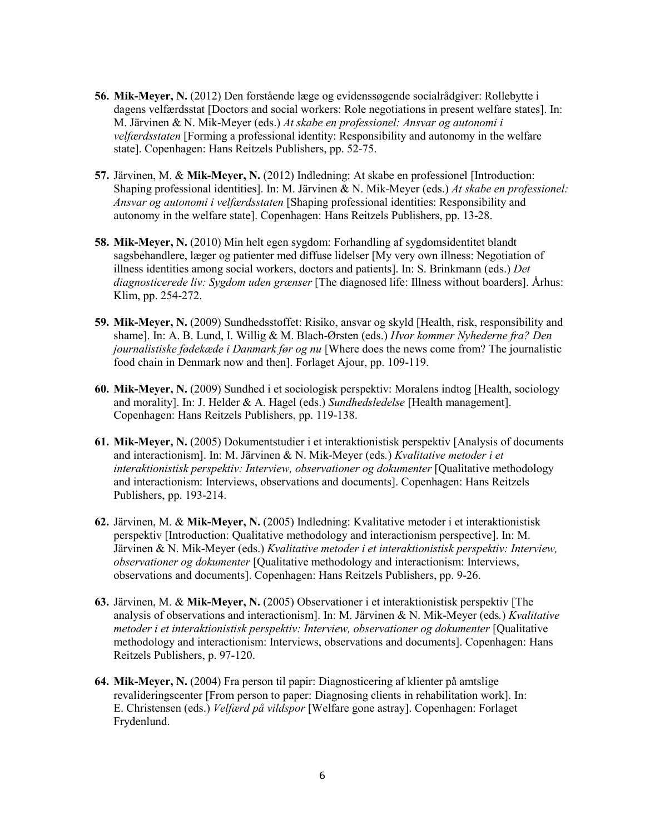- **56. Mik-Meyer, N.** (2012) Den forstående læge og evidenssøgende socialrådgiver: Rollebytte i dagens velfærdsstat [Doctors and social workers: Role negotiations in present welfare states]. In: M. Järvinen & N. Mik-Meyer (eds.) *At skabe en professionel: Ansvar og autonomi i velfærdsstaten* [Forming a professional identity: Responsibility and autonomy in the welfare state]. Copenhagen: Hans Reitzels Publishers, pp. 52-75.
- **57.** Järvinen, M. & **Mik-Meyer, N.** (2012) Indledning: At skabe en professionel [Introduction: Shaping professional identities]. In: M. Järvinen & N. Mik-Meyer (eds.) *At skabe en professionel: Ansvar og autonomi i velfærdsstaten* [Shaping professional identities: Responsibility and autonomy in the welfare state]. Copenhagen: Hans Reitzels Publishers, pp. 13-28.
- **58. Mik-Meyer, N.** (2010) Min helt egen sygdom: Forhandling af sygdomsidentitet blandt sagsbehandlere, læger og patienter med diffuse lidelser [My very own illness: Negotiation of illness identities among social workers, doctors and patients]. In: S. Brinkmann (eds.) *Det diagnosticerede liv: Sygdom uden grænser* [The diagnosed life: Illness without boarders]. Århus: Klim, pp. 254-272.
- **59. Mik-Meyer, N.** (2009) Sundhedsstoffet: Risiko, ansvar og skyld [Health, risk, responsibility and shame]. In: A. B. Lund, I. Willig & M. Blach-Ørsten (eds.) *Hvor kommer Nyhederne fra? Den journalistiske fødekæde i Danmark før og nu* [Where does the news come from? The journalistic food chain in Denmark now and then]. Forlaget Ajour, pp. 109-119.
- **60. Mik-Meyer, N.** (2009) Sundhed i et sociologisk perspektiv: Moralens indtog [Health, sociology and morality]. In: J. Helder & A. Hagel (eds.) *Sundhedsledelse* [Health management]. Copenhagen: Hans Reitzels Publishers, pp. 119-138.
- **61. Mik-Meyer, N.** (2005) Dokumentstudier i et interaktionistisk perspektiv [Analysis of documents and interactionism]. In: M. Järvinen & N. Mik-Meyer (eds*.*) *Kvalitative metoder i et interaktionistisk perspektiv: Interview, observationer og dokumenter* [Qualitative methodology and interactionism: Interviews, observations and documents]. Copenhagen: Hans Reitzels Publishers, pp. 193-214.
- **62.** Järvinen, M. & **Mik-Meyer, N.** (2005) Indledning: Kvalitative metoder i et interaktionistisk perspektiv [Introduction: Qualitative methodology and interactionism perspective]. In: M. Järvinen & N. Mik-Meyer (eds.) *Kvalitative metoder i et interaktionistisk perspektiv: Interview, observationer og dokumenter* [Qualitative methodology and interactionism: Interviews, observations and documents]. Copenhagen: Hans Reitzels Publishers, pp. 9-26.
- **63.** Järvinen, M. & **Mik-Meyer, N.** (2005) Observationer i et interaktionistisk perspektiv [The analysis of observations and interactionism]. In: M. Järvinen & N. Mik-Meyer (eds*.*) *Kvalitative metoder i et interaktionistisk perspektiv: Interview, observationer og dokumenter* [Qualitative methodology and interactionism: Interviews, observations and documents]. Copenhagen: Hans Reitzels Publishers, p. 97-120.
- **64. Mik-Meyer, N.** (2004) Fra person til papir: Diagnosticering af klienter på amtslige revalideringscenter [From person to paper: Diagnosing clients in rehabilitation work]. In: E. Christensen (eds.) *Velfærd på vildspor* [Welfare gone astray]. Copenhagen: Forlaget Frydenlund.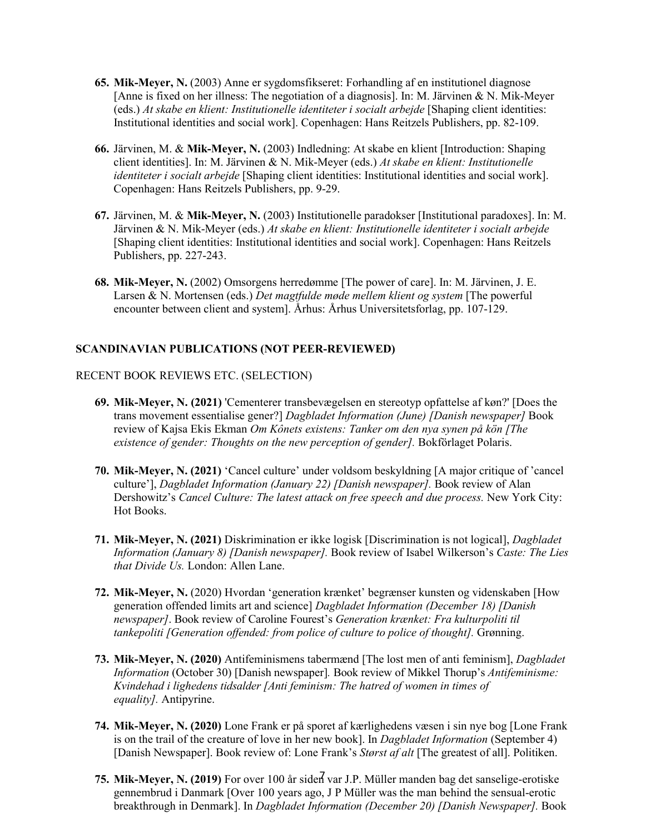- **65. Mik-Meyer, N.** (2003) Anne er sygdomsfikseret: Forhandling af en institutionel diagnose [Anne is fixed on her illness: The negotiation of a diagnosis]. In: M. Järvinen & N. Mik-Meyer (eds.) *At skabe en klient: Institutionelle identiteter i socialt arbejde* [Shaping client identities: Institutional identities and social work]. Copenhagen: Hans Reitzels Publishers, pp. 82-109.
- **66.** Järvinen, M. & **Mik-Meyer, N.** (2003) Indledning: At skabe en klient [Introduction: Shaping client identities]. In: M. Järvinen & N. Mik-Meyer (eds.) *At skabe en klient: Institutionelle identiteter i socialt arbejde* [Shaping client identities: Institutional identities and social work]. Copenhagen: Hans Reitzels Publishers, pp. 9-29.
- **67.** Järvinen, M. & **Mik-Meyer, N.** (2003) Institutionelle paradokser [Institutional paradoxes]. In: M. Järvinen & N. Mik-Meyer (eds.) *At skabe en klient: Institutionelle identiteter i socialt arbejde* [Shaping client identities: Institutional identities and social work]. Copenhagen: Hans Reitzels Publishers, pp. 227-243.
- **68. Mik-Meyer, N.** (2002) Omsorgens herredømme [The power of care]. In: M. Järvinen, J. E. Larsen & N. Mortensen (eds.) *Det magtfulde møde mellem klient og system* [The powerful encounter between client and system]. Århus: Århus Universitetsforlag, pp. 107-129.

## **SCANDINAVIAN PUBLICATIONS (NOT PEER-REVIEWED)**

#### RECENT BOOK REVIEWS ETC. (SELECTION)

- **69. Mik-Meyer, N. (2021)** 'Cementerer transbevægelsen en stereotyp opfattelse af køn?' [Does the trans movement essentialise gener?] *Dagbladet Information (June) [Danish newspaper]* Book review of Kajsa Ekis Ekman *Om Kônets existens: Tanker om den nya synen på kön [The existence of gender: Thoughts on the new perception of gender]*. Bokförlaget Polaris.
- **70. Mik-Meyer, N. (2021)** 'Cancel culture' under voldsom beskyldning [A major critique of 'cancel culture'], *Dagbladet Information (January 22) [Danish newspaper].* Book review of Alan Dershowitz's *Cancel Culture: The latest attack on free speech and due process.* New York City: Hot Books.
- **71. Mik-Meyer, N. (2021)** Diskrimination er ikke logisk [Discrimination is not logical], *Dagbladet Information (January 8) [Danish newspaper].* Book review of Isabel Wilkerson's *Caste: The Lies that Divide Us.* London: Allen Lane.
- **72. Mik-Meyer, N.** (2020) Hvordan 'generation krænket' begrænser kunsten og videnskaben [How generation offended limits art and science] *Dagbladet Information (December 18) [Danish newspaper]*. Book review of Caroline Fourest's *Generation krænket: Fra kulturpoliti til tankepoliti [Generation offended: from police of culture to police of thought].* Grønning.
- **73. Mik-Meyer, N. (2020)** Antifeminismens tabermænd [The lost men of anti feminism], *Dagbladet Information* (October 30) [Danish newspaper]*.* Book review of Mikkel Thorup's *Antifeminisme: Kvindehad i lighedens tidsalder [Anti feminism: The hatred of women in times of equality].* Antipyrine.
- **74. Mik-Meyer, N. (2020)** Lone Frank er på sporet af kærlighedens væsen i sin nye bog [Lone Frank is on the trail of the creature of love in her new book]. In *Dagbladet Information* (September 4) [Danish Newspaper]. Book review of: Lone Frank's *Størst af alt* [The greatest of all]. Politiken.
- 75. Mik-Meyer, N. (2019) For over 100 år siden var J.P. Müller manden bag det sanselige-erotiske gennembrud i Danmark [Over 100 years ago, J P Müller was the man behind the sensual-erotic breakthrough in Denmark]. In *Dagbladet Information (December 20) [Danish Newspaper].* Book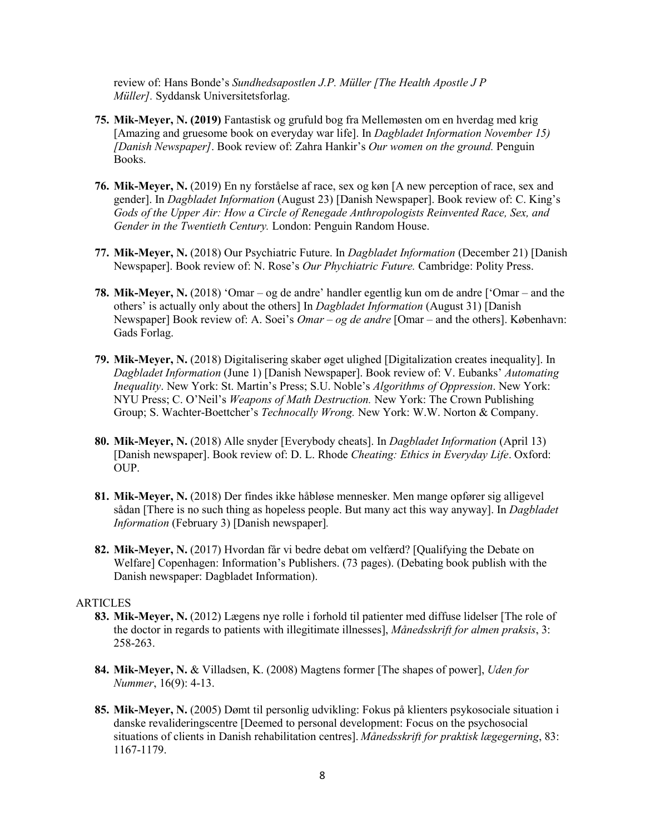review of: Hans Bonde's *Sundhedsapostlen J.P. Müller [The Health Apostle J P Müller].* Syddansk Universitetsforlag.

- **75. Mik-Meyer, N. (2019)** Fantastisk og grufuld bog fra Mellemøsten om en hverdag med krig [Amazing and gruesome book on everyday war life]. In *Dagbladet Information November 15) [Danish Newspaper]*. Book review of: Zahra Hankir's *Our women on the ground.* Penguin Books.
- **76. Mik-Meyer, N.** (2019) En ny forståelse af race, sex og køn [A new perception of race, sex and gender]. In *Dagbladet Information* (August 23) [Danish Newspaper]. Book review of: C. King's *Gods of the Upper Air: How a Circle of Renegade Anthropologists Reinvented Race, Sex, and Gender in the Twentieth Century.* London: Penguin Random House.
- **77. Mik-Meyer, N.** (2018) Our Psychiatric Future. In *Dagbladet Information* (December 21) [Danish Newspaper]. Book review of: N. Rose's *Our Phychiatric Future.* Cambridge: Polity Press.
- **78. Mik-Meyer, N.** (2018) 'Omar og de andre' handler egentlig kun om de andre ['Omar and the others' is actually only about the others] In *Dagbladet Information* (August 31) [Danish Newspaper] Book review of: A. Soei's *Omar – og de andre* [Omar – and the others]. København: Gads Forlag.
- **79. Mik-Meyer, N.** (2018) Digitalisering skaber øget ulighed [Digitalization creates inequality]. In *Dagbladet Information* (June 1) [Danish Newspaper]. Book review of: V. Eubanks' *Automating Inequality*. New York: St. Martin's Press; S.U. Noble's *Algorithms of Oppression*. New York: NYU Press; C. O'Neil's *Weapons of Math Destruction.* New York: The Crown Publishing Group; S. Wachter-Boettcher's *Technocally Wrong.* New York: W.W. Norton & Company.
- **80. Mik-Meyer, N.** (2018) Alle snyder [Everybody cheats]. In *Dagbladet Information* (April 13) [Danish newspaper]. Book review of: D. L. Rhode *Cheating: Ethics in Everyday Life*. Oxford: OUP.
- **81. Mik-Meyer, N.** (2018) Der findes ikke håbløse mennesker. Men mange opfører sig alligevel sådan [There is no such thing as hopeless people. But many act this way anyway]. In *Dagbladet Information* (February 3) [Danish newspaper]*.*
- **82. Mik-Meyer, N.** (2017) Hvordan får vi bedre debat om velfærd? [Qualifying the Debate on Welfare] Copenhagen: Information's Publishers. (73 pages). (Debating book publish with the Danish newspaper: Dagbladet Information).

#### ARTICLES

- **83. Mik-Meyer, N.** (2012) Lægens nye rolle i forhold til patienter med diffuse lidelser [The role of the doctor in regards to patients with illegitimate illnesses], *Månedsskrift for almen praksis*, 3: 258-263.
- **84. Mik-Meyer, N.** & Villadsen, K. (2008) Magtens former [The shapes of power], *Uden for Nummer*, 16(9): 4-13.
- **85. Mik-Meyer, N.** (2005) Dømt til personlig udvikling: Fokus på klienters psykosociale situation i danske revalideringscentre [Deemed to personal development: Focus on the psychosocial situations of clients in Danish rehabilitation centres]. *Månedsskrift for praktisk lægegerning*, 83: 1167-1179.